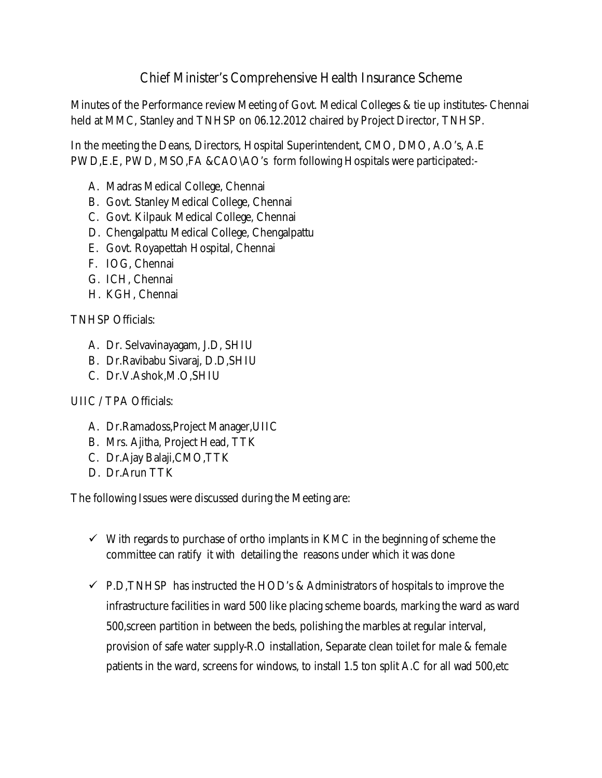## Chief Minister's Comprehensive Health Insurance Scheme

Minutes of the Performance review Meeting of Govt. Medical Colleges & tie up institutes- Chennai held at MMC, Stanley and TNHSP on 06.12.2012 chaired by Project Director, TNHSP.

In the meeting the Deans, Directors, Hospital Superintendent, CMO, DMO, A.O's, A.E PWD,E.E, PWD, MSO,FA &CAO\AO's form following Hospitals were participated:-

- A. Madras Medical College, Chennai
- B. Govt. Stanley Medical College, Chennai
- C. Govt. Kilpauk Medical College, Chennai
- D. Chengalpattu Medical College, Chengalpattu
- E. Govt. Royapettah Hospital, Chennai
- F. IOG, Chennai
- G. ICH, Chennai
- H. KGH, Chennai

TNHSP Officials:

- A. Dr. Selvavinayagam, J.D, SHIU
- B. Dr.Ravibabu Sivaraj, D.D,SHIU
- C. Dr.V.Ashok,M.O,SHIU

## UIIC / TPA Officials:

- A. Dr.Ramadoss,Project Manager,UIIC
- B. Mrs. Ajitha, Project Head, TTK
- C. Dr.Ajay Balaji,CMO,TTK
- D. Dr.Arun TTK

The following Issues were discussed during the Meeting are:

- $\checkmark$  With regards to purchase of ortho implants in KMC in the beginning of scheme the committee can ratify it with detailing the reasons under which it was done
- $\checkmark$  P.D,TNHSP has instructed the HOD's & Administrators of hospitals to improve the infrastructure facilities in ward 500 like placing scheme boards, marking the ward as ward 500,screen partition in between the beds, polishing the marbles at regular interval, provision of safe water supply-R.O installation, Separate clean toilet for male & female patients in the ward, screens for windows, to install 1.5 ton split A.C for all wad 500,etc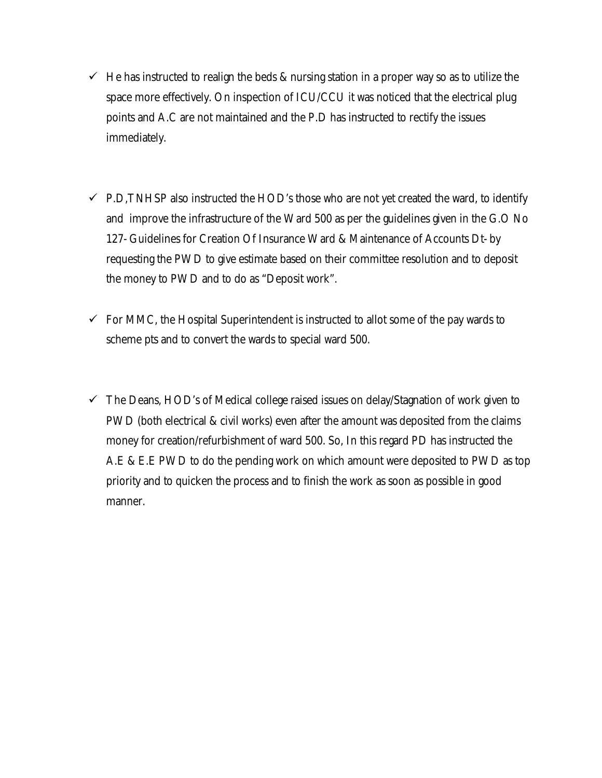- $\checkmark$  He has instructed to realign the beds & nursing station in a proper way so as to utilize the space more effectively. On inspection of ICU/CCU it was noticed that the electrical plug points and A.C are not maintained and the P.D has instructed to rectify the issues immediately.
- $\checkmark$  P.D, TNHSP also instructed the HOD's those who are not yet created the ward, to identify and improve the infrastructure of the Ward 500 as per the guidelines given in the G.O No 127- Guidelines for Creation Of Insurance Ward & Maintenance of Accounts Dt- by requesting the PWD to give estimate based on their committee resolution and to deposit the money to PWD and to do as "Deposit work".
- $\checkmark$  For MMC, the Hospital Superintendent is instructed to allot some of the pay wards to scheme pts and to convert the wards to special ward 500.
- $\checkmark$  The Deans, HOD's of Medical college raised issues on delay/Stagnation of work given to PWD (both electrical & civil works) even after the amount was deposited from the claims money for creation/refurbishment of ward 500. So, In this regard PD has instructed the A.E & E.E PWD to do the pending work on which amount were deposited to PWD as top priority and to quicken the process and to finish the work as soon as possible in good manner.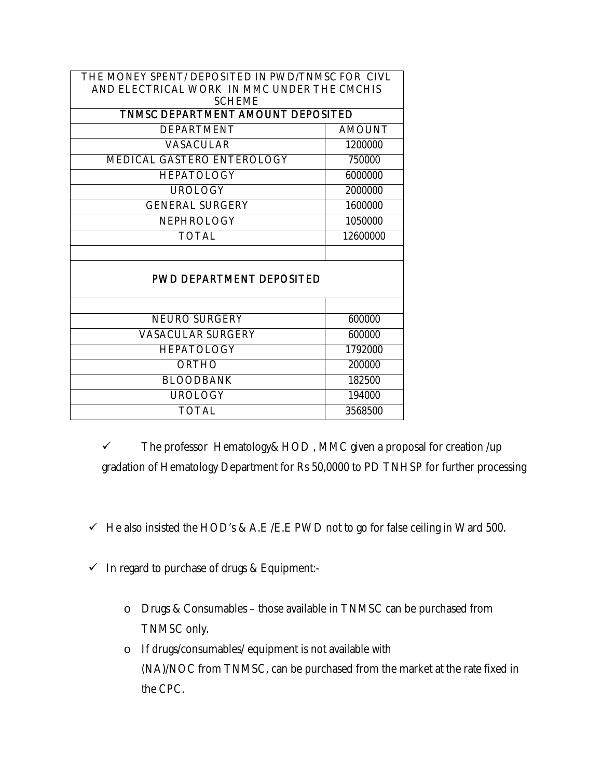| THE MONEY SPENT/ DEPOSITED IN PWD/TNMSC FOR CIVL<br>AND ELECTRICAL WORK IN MMC UNDER THE CMCHIS<br><b>SCHEME</b> |               |
|------------------------------------------------------------------------------------------------------------------|---------------|
| TNMSC DEPARTMENT AMOUNT DEPOSITED                                                                                |               |
| <b>DEPARTMENT</b>                                                                                                | <b>AMOUNT</b> |
| <b>VASACULAR</b>                                                                                                 | 1200000       |
| MEDICAL GASTERO ENTEROLOGY                                                                                       | 750000        |
| <b>HEPATOLOGY</b>                                                                                                | 6000000       |
| <b>UROLOGY</b>                                                                                                   | 2000000       |
| <b>GENERAL SURGERY</b>                                                                                           | 1600000       |
| <b>NEPHROLOGY</b>                                                                                                | 1050000       |
| <b>TOTAL</b>                                                                                                     | 12600000      |
|                                                                                                                  |               |
| <b>PWD DEPARTMENT DEPOSITED</b>                                                                                  |               |
|                                                                                                                  |               |
| <b>NEURO SURGERY</b>                                                                                             | 600000        |
| <b>VASACULAR SURGERY</b>                                                                                         | 600000        |
| <b>HEPATOLOGY</b>                                                                                                | 1792000       |
| ORTHO                                                                                                            | 200000        |
| <b>BLOODBANK</b>                                                                                                 | 182500        |
| UROLOGY                                                                                                          | 194000        |
| <b>TOTAL</b>                                                                                                     | 3568500       |
|                                                                                                                  |               |

 $\checkmark$  The professor Hematology & HOD, MMC given a proposal for creation /up gradation of Hematology Department for Rs 50,0000 to PD TNHSP for further processing

- $\checkmark$  He also insisted the HOD's & A.E /E.E PWD not to go for false ceiling in Ward 500.
- $\checkmark$  In regard to purchase of drugs & Equipment:
	- o Drugs & Consumables those available in TNMSC can be purchased from TNMSC only.
	- o If drugs/consumables/ equipment is not available with (NA)/NOC from TNMSC, can be purchased from the market at the rate fixed in the CPC.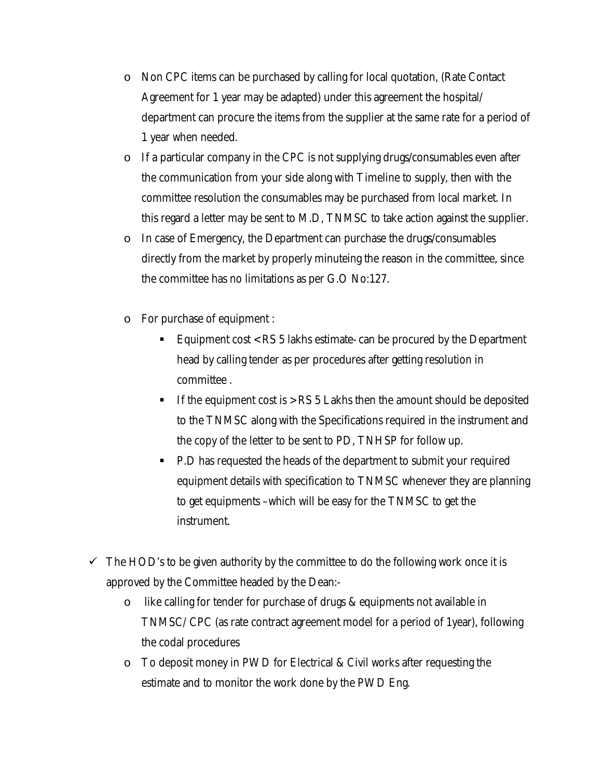- o Non CPC items can be purchased by calling for local quotation, (Rate Contact Agreement for 1 year may be adapted) under this agreement the hospital/ department can procure the items from the supplier at the same rate for a period of 1 year when needed.
- o If a particular company in the CPC is not supplying drugs/consumables even after the communication from your side along with Timeline to supply, then with the committee resolution the consumables may be purchased from local market. In this regard a letter may be sent to M.D, TNMSC to take action against the supplier.
- o In case of Emergency, the Department can purchase the drugs/consumables directly from the market by properly minuteing the reason in the committee, since the committee has no limitations as per G.O No:127.
- o For purchase of equipment :
	- Equipment cost < RS 5 lakhs estimate- can be procured by the Department head by calling tender as per procedures after getting resolution in committee .
	- If the equipment cost is > RS 5 Lakhs then the amount should be deposited to the TNMSC along with the Specifications required in the instrument and the copy of the letter to be sent to PD, TNHSP for follow up.
	- P.D has requested the heads of the department to submit your required equipment details with specification to TNMSC whenever they are planning to get equipments –which will be easy for the TNMSC to get the instrument.
- $\checkmark$  The HOD's to be given authority by the committee to do the following work once it is approved by the Committee headed by the Dean:
	- o like calling for tender for purchase of drugs & equipments not available in TNMSC/ CPC (as rate contract agreement model for a period of 1year), following the codal procedures
	- o To deposit money in PWD for Electrical & Civil works after requesting the estimate and to monitor the work done by the PWD Eng.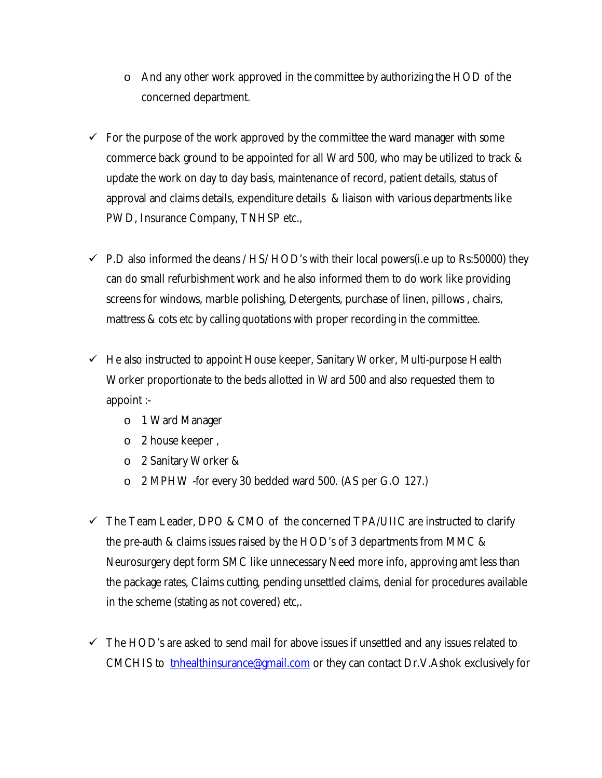- $\circ$  And any other work approved in the committee by authorizing the HOD of the concerned department.
- $\checkmark$  For the purpose of the work approved by the committee the ward manager with some commerce back ground to be appointed for all Ward 500, who may be utilized to track & update the work on day to day basis, maintenance of record, patient details, status of approval and claims details, expenditure details & liaison with various departments like PWD, Insurance Company, TNHSP etc.,
- $\checkmark$  P.D also informed the deans / HS/ HOD's with their local powers(i.e up to Rs:50000) they can do small refurbishment work and he also informed them to do work like providing screens for windows, marble polishing, Detergents, purchase of linen, pillows , chairs, mattress & cots etc by calling quotations with proper recording in the committee.
- $\checkmark$  He also instructed to appoint House keeper, Sanitary Worker, Multi-purpose Health Worker proportionate to the beds allotted in Ward 500 and also requested them to appoint :
	- o 1 Ward Manager
	- o 2 house keeper ,
	- o 2 Sanitary Worker &
	- o 2 MPHW -for every 30 bedded ward 500. (AS per G.O 127.)
- $\checkmark$  The Team Leader, DPO & CMO of the concerned TPA/UIIC are instructed to clarify the pre-auth & claims issues raised by the HOD's of 3 departments from MMC & Neurosurgery dept form SMC like unnecessary Need more info, approving amt less than the package rates, Claims cutting, pending unsettled claims, denial for procedures available in the scheme (stating as not covered) etc,.
- $\checkmark$  The HOD's are asked to send mail for above issues if unsettled and any issues related to CMCHIS to tnhealthinsurance@gmail.com or they can contact Dr.V.Ashok exclusively for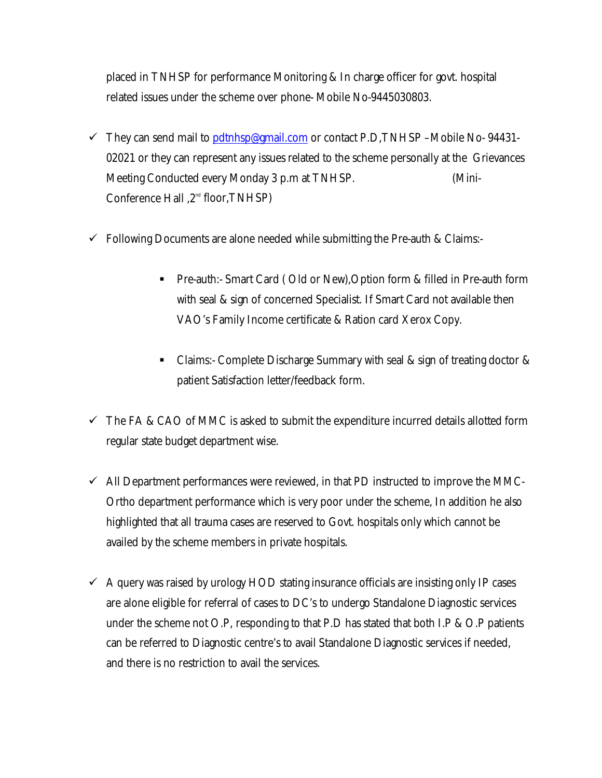placed in TNHSP for performance Monitoring & In charge officer for govt. hospital related issues under the scheme over phone- Mobile No-9445030803.

- $\checkmark$  They can send mail to pdtnhsp@gmail.com or contact P.D,TNHSP –Mobile No-94431-02021 or they can represent any issues related to the scheme personally at the Grievances Meeting Conducted every Monday 3 p.m at TNHSP. (Mini-Conference Hall ,2<sup>nd</sup> floor,TNHSP)
- $\checkmark$  Following Documents are alone needed while submitting the Pre-auth & Claims:-
	- Pre-auth:- Smart Card ( Old or New),Option form & filled in Pre-auth form with seal & sign of concerned Specialist. If Smart Card not available then VAO's Family Income certificate & Ration card Xerox Copy.
	- Claims:- Complete Discharge Summary with seal & sign of treating doctor & patient Satisfaction letter/feedback form.
- $\checkmark$  The FA & CAO of MMC is asked to submit the expenditure incurred details allotted form regular state budget department wise.
- $\checkmark$  All Department performances were reviewed, in that PD instructed to improve the MMC-Ortho department performance which is very poor under the scheme, In addition he also highlighted that all trauma cases are reserved to Govt. hospitals only which cannot be availed by the scheme members in private hospitals.
- $\checkmark$  A query was raised by urology HOD stating insurance officials are insisting only IP cases are alone eligible for referral of cases to DC's to undergo Standalone Diagnostic services under the scheme not O.P, responding to that P.D has stated that both I.P & O.P patients can be referred to Diagnostic centre's to avail Standalone Diagnostic services if needed, and there is no restriction to avail the services.